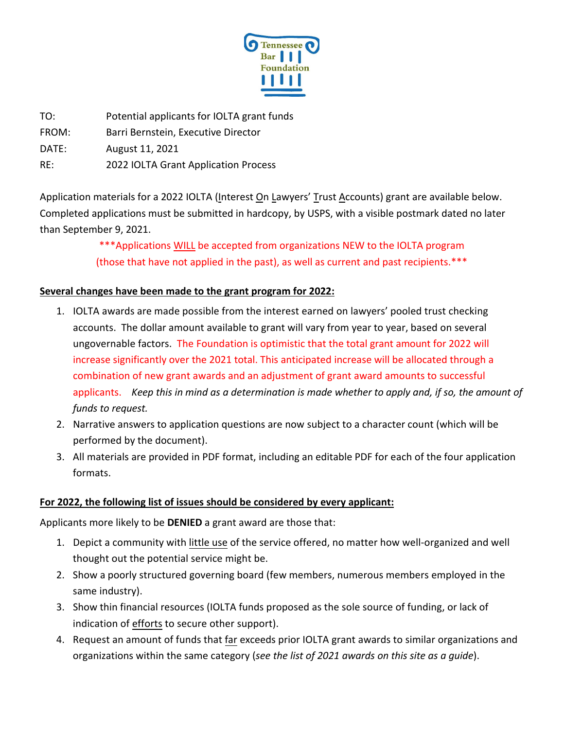

TO: Potential applicants for IOLTA grant funds

FROM: Barri Bernstein, Executive Director

DATE: August 11, 2021

RE: 2022 IOLTA Grant Application Process

Application materials for a 2022 IOLTA (Interest On Lawyers' Trust Accounts) grant are available below. Completed applications must be submitted in hardcopy, by USPS, with a visible postmark dated no later than September 9, 2021.

> \*\*\*Applications WILL be accepted from organizations NEW to the IOLTA program (those that have not applied in the past), as well as current and past recipients.\*\*\*

## **Several changes have been made to the grant program for 2022:**

- 1. IOLTA awards are made possible from the interest earned on lawyers' pooled trust checking accounts. The dollar amount available to grant will vary from year to year, based on several ungovernable factors. The Foundation is optimistic that the total grant amount for 2022 will increase significantly over the 2021 total. This anticipated increase will be allocated through a combination of new grant awards and an adjustment of grant award amounts to successful applicants. *Keep this in mind as a determination is made whether to apply and, if so, the amount of funds to request.*
- 2. Narrative answers to application questions are now subject to a character count (which will be performed by the document).
- 3. All materials are provided in PDF format, including an editable PDF for each of the four application formats.

#### **For 2022, the following list of issues should be considered by every applicant:**

Applicants more likely to be **DENIED** a grant award are those that:

- 1. Depict a community with little use of the service offered, no matter how well-organized and well thought out the potential service might be.
- 2. Show a poorly structured governing board (few members, numerous members employed in the same industry).
- 3. Show thin financial resources (IOLTA funds proposed as the sole source of funding, or lack of indication of efforts to secure other support).
- 4. Request an amount of funds that far exceeds prior IOLTA grant awards to similar organizations and organizations within the same category (*see the list of 2021 awards on this site as a guide*).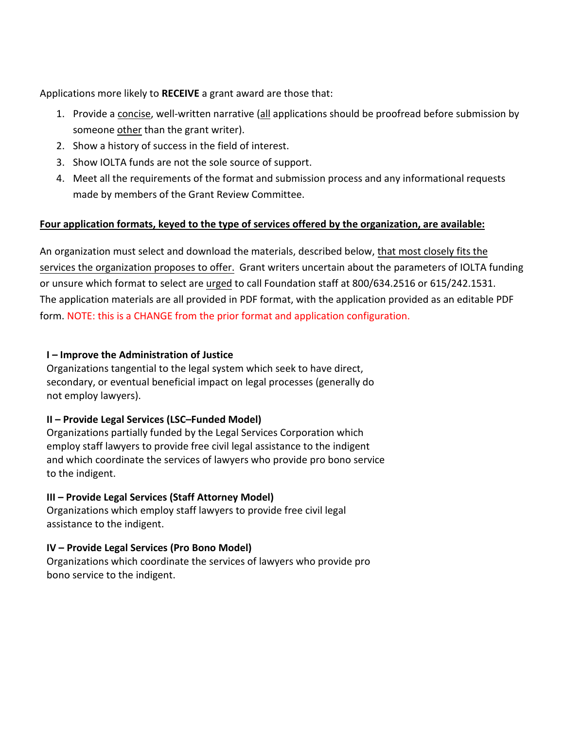Applications more likely to **RECEIVE** a grant award are those that:

- 1. Provide a concise, well-written narrative (all applications should be proofread before submission by someone other than the grant writer).
- 2. Show a history of success in the field of interest.
- 3. Show IOLTA funds are not the sole source of support.
- 4. Meet all the requirements of the format and submission process and any informational requests made by members of the Grant Review Committee.

## **Four application formats, keyed to the type of services offered by the organization, are available:**

An organization must select and download the materials, described below, that most closely fits the services the organization proposes to offer. Grant writers uncertain about the parameters of IOLTA funding or unsure which format to select are urged to call Foundation staff at 800/634.2516 or 615/242.1531. The application materials are all provided in PDF format, with the application provided as an editable PDF form. NOTE: this is a CHANGE from the prior format and application configuration.

#### **I – Improve the Administration of Justice**

Organizations tangential to the legal system which seek to have direct, secondary, or eventual beneficial impact on legal processes (generally do not employ lawyers).

## **II – Provide Legal Services (LSC–Funded Model)**

Organizations partially funded by the Legal Services Corporation which employ staff lawyers to provide free civil legal assistance to the indigent and which coordinate the services of lawyers who provide pro bono service to the indigent.

## **III – Provide Legal Services (Staff Attorney Model)**

Organizations which employ staff lawyers to provide free civil legal assistance to the indigent.

## **IV – Provide Legal Services (Pro Bono Model)**

Organizations which coordinate the services of lawyers who provide pro bono service to the indigent.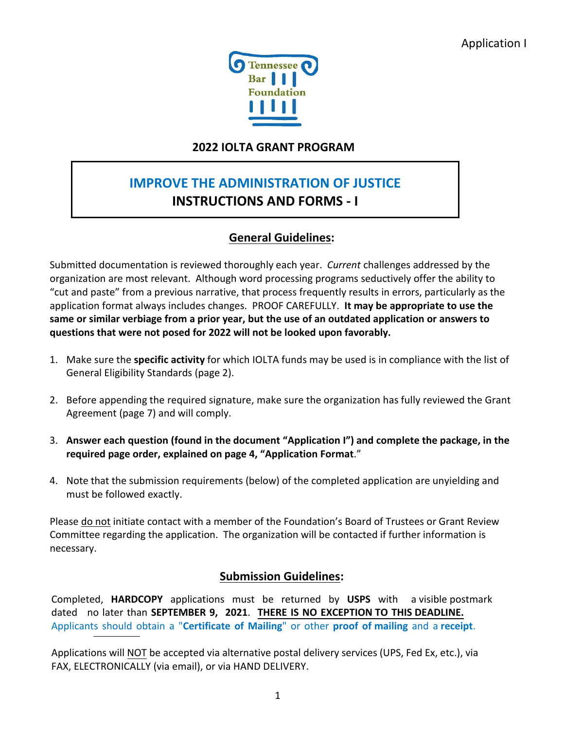

## **2022 IOLTA GRANT PROGRAM**

# **IMPROVE THE ADMINISTRATION OF JUSTICE INSTRUCTIONS AND FORMS - I**

## **General Guidelines:**

Submitted documentation is reviewed thoroughly each year. *Current* challenges addressed by the organization are most relevant. Although word processing programs seductively offer the ability to "cut and paste" from a previous narrative, that process frequently results in errors, particularly as the application format always includes changes. PROOF CAREFULLY. **It may be appropriate to use the same or similar verbiage from a prior year, but the use of an outdated application or answers to questions that were not posed for 2022 will not be looked upon favorably.**

- 1. Make sure the **specific activity** for which IOLTA funds may be used is in compliance with the list of General Eligibility Standards (page 2).
- 2. Before appending the required signature, make sure the organization has fully reviewed the Grant Agreement (page 7) and will comply.
- 3. **Answer each question (found in the document "Application I") and complete the package, in the required page order, explained on page 4, "Application Format**."
- 4. Note that the submission requirements (below) of the completed application are unyielding and must be followed exactly.

Please do not initiate contact with a member of the Foundation's Board of Trustees or Grant Review Committee regarding the application. The organization will be contacted if further information is necessary.

## **Submission Guidelines:**

Completed, **HARDCOPY** applications must be returned by **USPS** with a visible postmark dated no later than **SEPTEMBER 9, 2021**. **THERE IS NO EXCEPTION TO THIS DEADLINE.**  Applicants should obtain a "**Certificate of Mailing**" or other **proof of mailing** and a **receipt**.

Applications will NOT be accepted via alternative postal delivery services (UPS, Fed Ex, etc.), via FAX, ELECTRONICALLY (via email), or via HAND DELIVERY.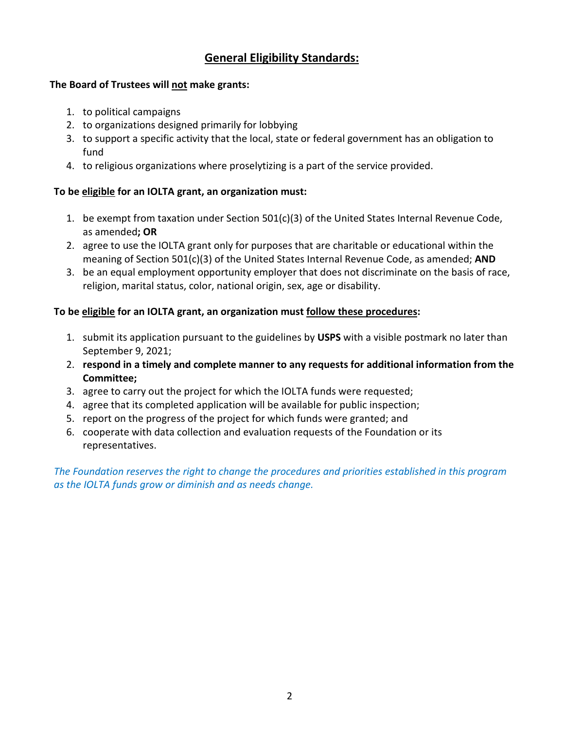## **General Eligibility Standards:**

#### **The Board of Trustees will not make grants:**

- 1. to political campaigns
- 2. to organizations designed primarily for lobbying
- 3. to support a specific activity that the local, state or federal government has an obligation to fund
- 4. to religious organizations where proselytizing is a part of the service provided.

#### **To be eligible for an IOLTA grant, an organization must:**

- 1. be exempt from taxation under Section 501(c)(3) of the United States Internal Revenue Code, as amended**; OR**
- 2. agree to use the IOLTA grant only for purposes that are charitable or educational within the meaning of Section 501(c)(3) of the United States Internal Revenue Code, as amended; **AND**
- 3. be an equal employment opportunity employer that does not discriminate on the basis of race, religion, marital status, color, national origin, sex, age or disability.

#### **To be eligible for an IOLTA grant, an organization must follow these procedures:**

- 1. submit its application pursuant to the guidelines by **USPS** with a visible postmark no later than September 9, 2021;
- 2. **respond in a timely and complete manner to any requests for additional information from the Committee;**
- 3. agree to carry out the project for which the IOLTA funds were requested;
- 4. agree that its completed application will be available for public inspection;
- 5. report on the progress of the project for which funds were granted; and
- 6. cooperate with data collection and evaluation requests of the Foundation or its representatives.

*The Foundation reserves the right to change the procedures and priorities established in this program as the IOLTA funds grow or diminish and as needs change.*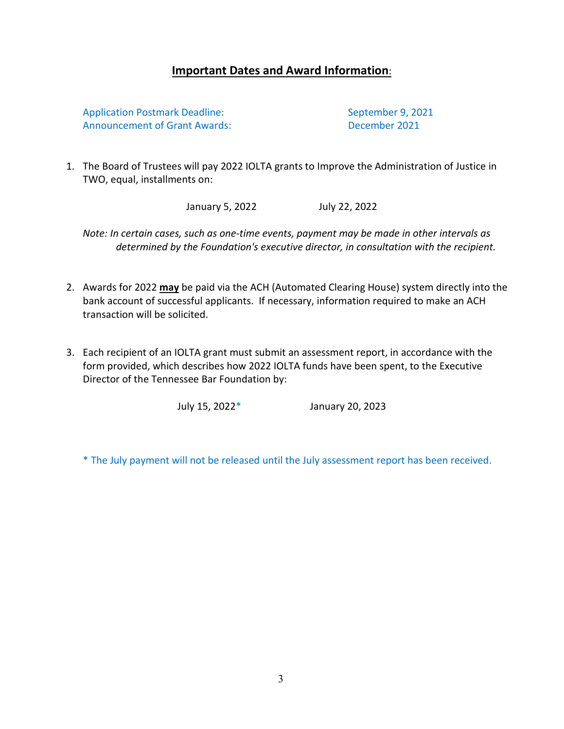## **Important Dates and Award Information**:

Application Postmark Deadline: September 9, 2021 Announcement of Grant Awards: The Controller of December 2021

1. The Board of Trustees will pay 2022 IOLTA grants to Improve the Administration of Justice in TWO, equal, installments on:

January 5, 2022 July 22, 2022

*Note: In certain cases, such as one-time events, payment may be made in other intervals as determined by the Foundation's executive director, in consultation with the recipient.*

- 2. Awards for 2022 **may** be paid via the ACH (Automated Clearing House) system directly into the bank account of successful applicants. If necessary, information required to make an ACH transaction will be solicited.
- 3. Each recipient of an IOLTA grant must submit an assessment report, in accordance with the form provided, which describes how 2022 IOLTA funds have been spent, to the Executive Director of the Tennessee Bar Foundation by:

July 15, 2022\* January 20, 2023

\* The July payment will not be released until the July assessment report has been received.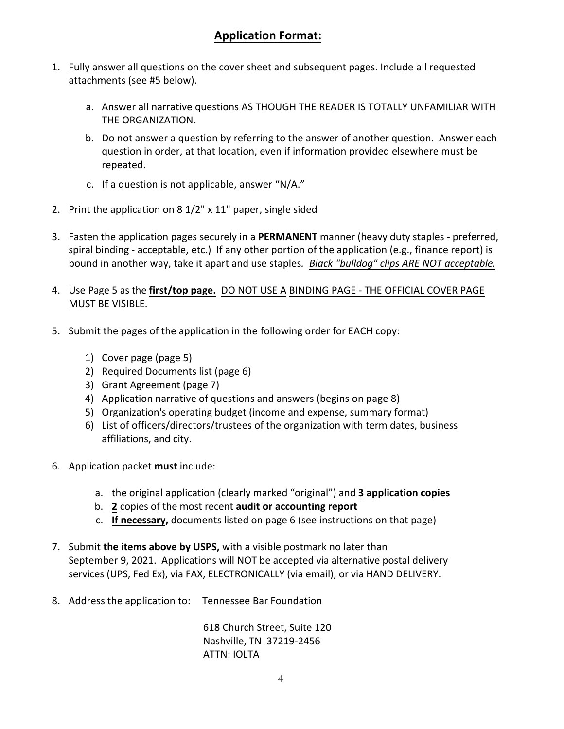## **Application Format:**

- 1. Fully answer all questions on the cover sheet and subsequent pages. Include all requested attachments (see #5 below).
	- a. Answer all narrative questions AS THOUGH THE READER IS TOTALLY UNFAMILIAR WITH THE ORGANIZATION.
	- b. Do not answer a question by referring to the answer of another question. Answer each question in order, at that location, even if information provided elsewhere must be repeated.
	- c. If a question is not applicable, answer "N/A."
- 2. Print the application on 8 1/2" x 11" paper, single sided
- 3. Fasten the application pages securely in a **PERMANENT** manner (heavy duty staples preferred, spiral binding - acceptable, etc.) If any other portion of the application (e.g., finance report) is bound in another way, take it apart and use staples*. Black "bulldog" clips ARE NOT acceptable.*
- 4. Use Page 5 as the **first/top page.** DO NOT USE A BINDING PAGE THE OFFICIAL COVER PAGE MUST BE VISIBLE.
- 5. Submit the pages of the application in the following order for EACH copy:
	- 1) Cover page (page 5)
	- 2) Required Documents list (page 6)
	- 3) Grant Agreement (page 7)
	- 4) Application narrative of questions and answers (begins on page 8)
	- 5) Organization's operating budget (income and expense, summary format)
	- 6) List of officers/directors/trustees of the organization with term dates, business affiliations, and city.
- 6. Application packet **must** include:
	- a. the original application (clearly marked "original") and **3 application copies**
	- b. **2** copies of the most recent **audit or accounting report**
	- c. **If necessary,** documents listed on page 6 (see instructions on that page)
- 7. Submit **the items above by USPS,** with a visible postmark no later than September 9, 2021. Applications will NOT be accepted via alternative postal delivery services (UPS, Fed Ex), via FAX, ELECTRONICALLY (via email), or via HAND DELIVERY.
- 8. Address the application to: Tennessee Bar Foundation

618 Church Street, Suite 120 Nashville, TN 37219-2456 ATTN: IOLTA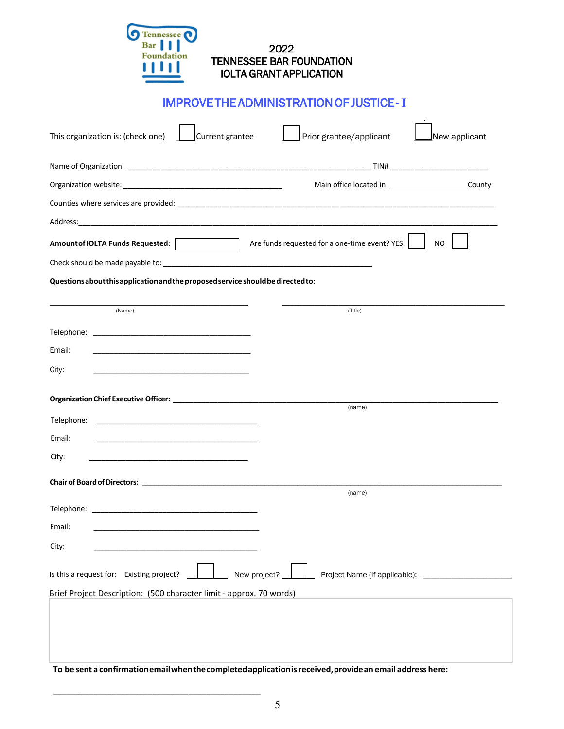| 2022                            |
|---------------------------------|
| <b>TENNESSEE BAR FOUNDATION</b> |
| <b>IOLTA GRANT APPLICATION</b>  |
|                                 |

Tennessee<br>Bar<br>Foundation

# IMPROVE THE ADMINISTRATION OF JUSTICE - **I**

| This organization is: (check one)<br>Current grantee                                                                               | Prior grantee/applicant<br>New applicant             |  |
|------------------------------------------------------------------------------------------------------------------------------------|------------------------------------------------------|--|
|                                                                                                                                    |                                                      |  |
|                                                                                                                                    | County                                               |  |
|                                                                                                                                    |                                                      |  |
|                                                                                                                                    |                                                      |  |
|                                                                                                                                    | Are funds requested for a one-time event? YES<br>NO. |  |
|                                                                                                                                    |                                                      |  |
| Questions about this application and the proposed service should be directed to:                                                   |                                                      |  |
| (Name)                                                                                                                             | (Title)                                              |  |
|                                                                                                                                    |                                                      |  |
| Email:                                                                                                                             |                                                      |  |
| City:                                                                                                                              |                                                      |  |
|                                                                                                                                    |                                                      |  |
|                                                                                                                                    | (name)                                               |  |
| Telephone:<br><u> 1989 - Johann Stein, mars an de Francisco Barbara, marca e a contrador de la contrador de la contrador de la</u> |                                                      |  |
| Email:                                                                                                                             |                                                      |  |
| City:                                                                                                                              |                                                      |  |
|                                                                                                                                    |                                                      |  |
|                                                                                                                                    | (name)                                               |  |
|                                                                                                                                    |                                                      |  |
| Email:                                                                                                                             |                                                      |  |
| City:                                                                                                                              |                                                      |  |
| Is this a request for: Existing project?<br>New project?                                                                           |                                                      |  |
| Brief Project Description: (500 character limit - approx. 70 words)                                                                |                                                      |  |
|                                                                                                                                    |                                                      |  |
|                                                                                                                                    |                                                      |  |
|                                                                                                                                    |                                                      |  |
| To be sent a confirmation email when the completed application is received, provide an email address here:                         |                                                      |  |

\_\_\_\_\_\_\_\_\_\_\_\_\_\_\_\_\_\_\_\_\_\_\_\_\_\_\_\_\_\_\_\_\_\_\_\_\_\_\_\_\_\_\_\_\_\_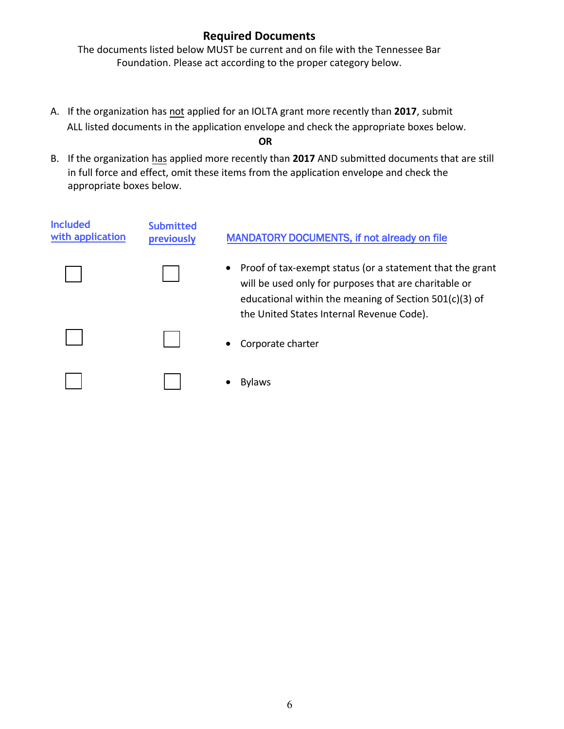## **Required Documents**

The documents listed below MUST be current and on file with the Tennessee Bar Foundation. Please act according to the proper category below.

- A. If the organization has not applied for an IOLTA grant more recently than **2017**, submit ALL listed documents in the application envelope and check the appropriate boxes below. **OR**
- B. If the organization has applied more recently than **2017** AND submitted documents that are still in full force and effect, omit these items from the application envelope and check the appropriate boxes below.

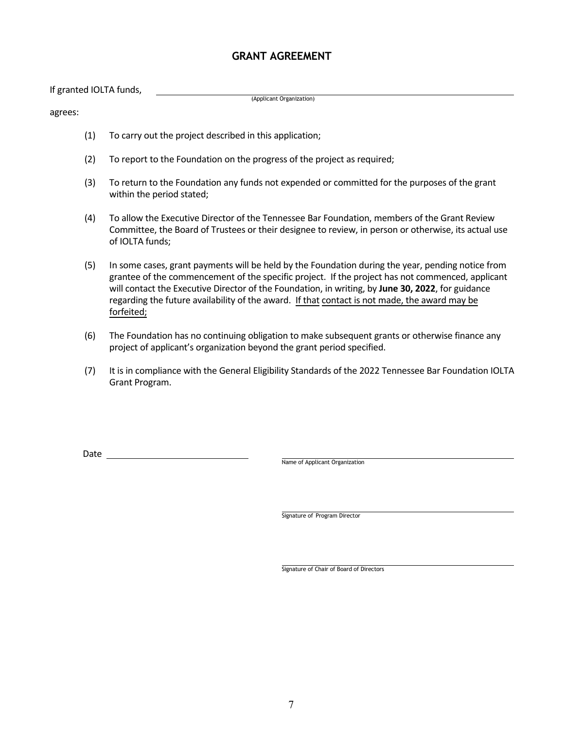#### **GRANT AGREEMENT**

If granted IOLTA funds,

(Applicant Organization)

agrees:

- (1) To carry out the project described in this application;
- (2) To report to the Foundation on the progress of the project as required;
- (3) To return to the Foundation any funds not expended or committed for the purposes of the grant within the period stated;
- (4) To allow the Executive Director of the Tennessee Bar Foundation, members of the Grant Review Committee, the Board of Trustees or their designee to review, in person or otherwise, its actual use of IOLTA funds;
- (5) In some cases, grant payments will be held by the Foundation during the year, pending notice from grantee of the commencement of the specific project. If the project has not commenced, applicant will contact the Executive Director of the Foundation, in writing, by **June 30, 2022**, for guidance regarding the future availability of the award. If that contact is not made, the award may be forfeited;
- (6) The Foundation has no continuing obligation to make subsequent grants or otherwise finance any project of applicant's organization beyond the grant period specified.
- (7) It is in compliance with the General Eligibility Standards of the 2022 Tennessee Bar Foundation IOLTA Grant Program.

Date

Name of Applicant Organization

Signature of Program Director

Signature of Chair of Board of Directors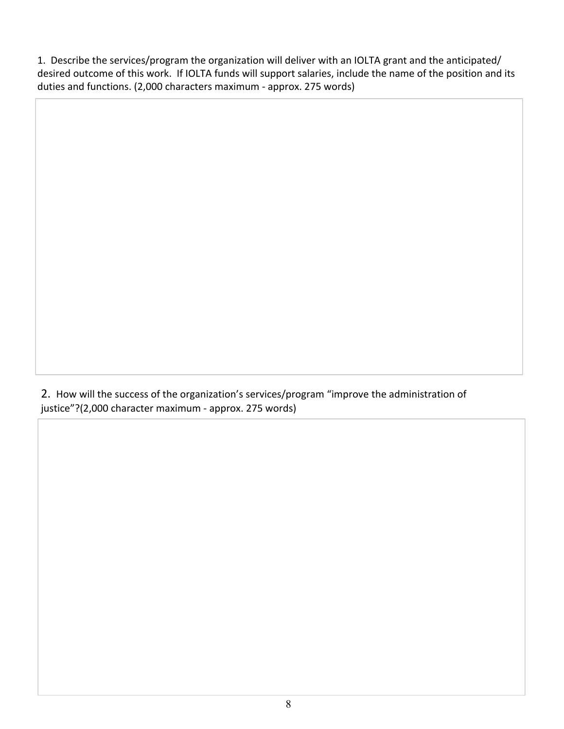1. Describe the services/program the organization will deliver with an IOLTA grant and the anticipated/ desired outcome of this work. If IOLTA funds will support salaries, include the name of the position and its duties and functions. (2,000 characters maximum - approx. 275 words)

2. How will the success of the organization's services/program "improve the administration of justice"?(2,000 character maximum - approx. 275 words)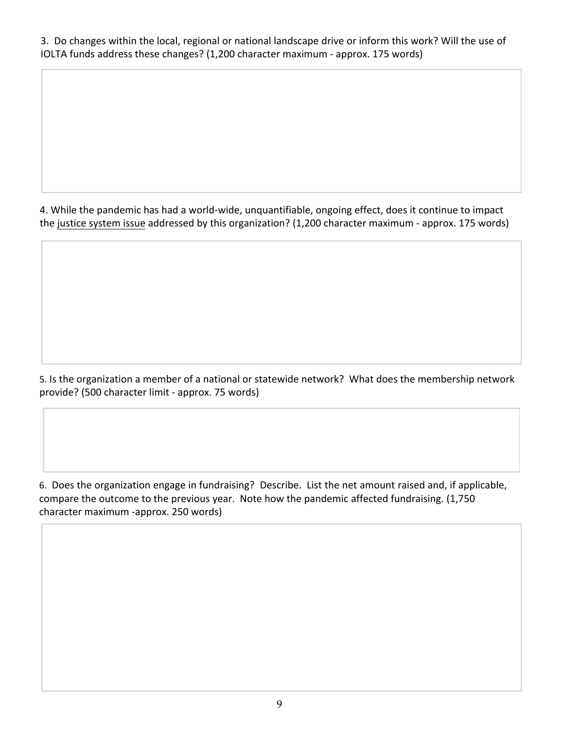3. Do changes within the local, regional or national landscape drive or inform this work? Will the use of IOLTA funds address these changes? (1,200 character maximum - approx. 175 words)

4. While the pandemic has had a world-wide, unquantifiable, ongoing effect, does it continue to impact the justice system issue addressed by this organization? (1,200 character maximum - approx. 175 words)

5. Is the organization a member of a national or statewide network? What does the membership network provide? (500 character limit - approx. 75 words)

6. Does the organization engage in fundraising? Describe. List the net amount raised and, if applicable, compare the outcome to the previous year. Note how the pandemic affected fundraising. (1,750 character maximum -approx. 250 words)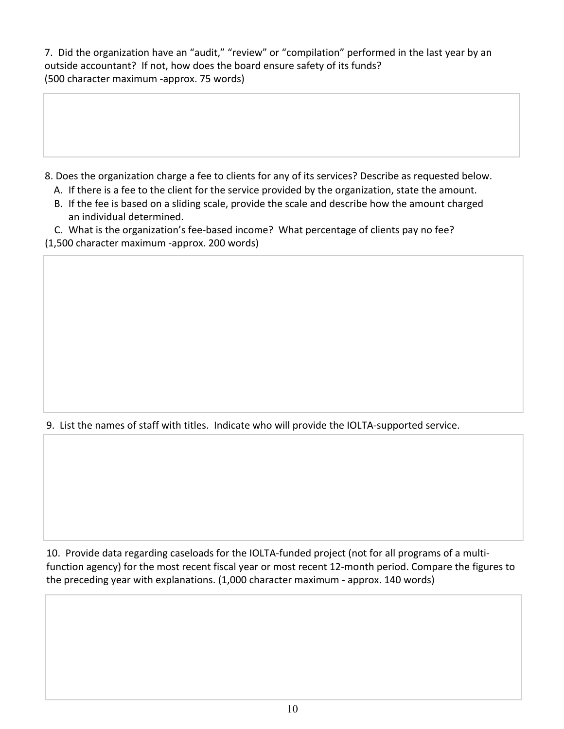7. Did the organization have an "audit," "review" or "compilation" performed in the last year by an outside accountant? If not, how does the board ensure safety of its funds? (500 character maximum -approx. 75 words)

- 8. Does the organization charge a fee to clients for any of its services? Describe as requested below.
	- A. If there is a fee to the client for the service provided by the organization, state the amount.
	- B. If the fee is based on a sliding scale, provide the scale and describe how the amount charged an individual determined.

C. What is the organization's fee-based income? What percentage of clients pay no fee? (1,500 character maximum -approx. 200 words)

9. List the names of staff with titles. Indicate who will provide the IOLTA-supported service.

10. Provide data regarding caseloads for the IOLTA-funded project (not for all programs of a multifunction agency) for the most recent fiscal year or most recent 12-month period. Compare the figures to the preceding year with explanations. (1,000 character maximum - approx. 140 words)